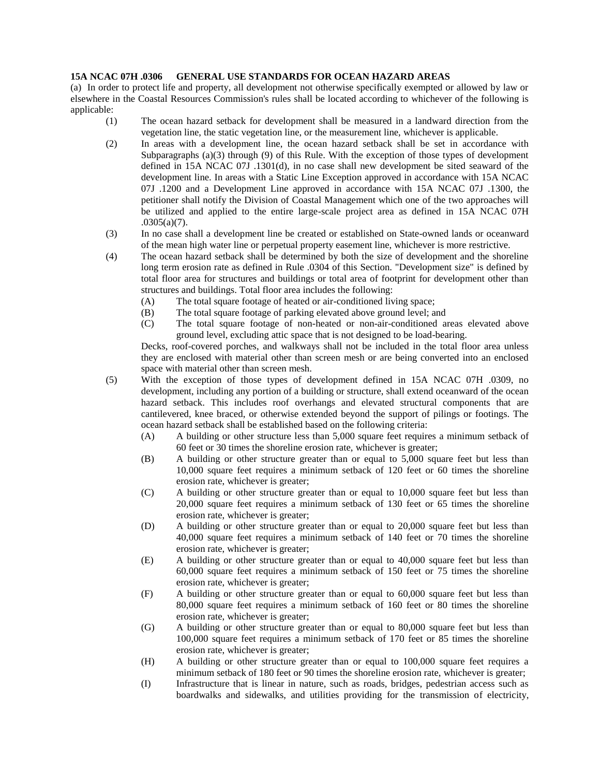## **15A NCAC 07H .0306 GENERAL USE STANDARDS FOR OCEAN HAZARD AREAS**

(a) In order to protect life and property, all development not otherwise specifically exempted or allowed by law or elsewhere in the Coastal Resources Commission's rules shall be located according to whichever of the following is applicable:

- (1) The ocean hazard setback for development shall be measured in a landward direction from the vegetation line, the static vegetation line, or the measurement line, whichever is applicable.
- (2) In areas with a development line, the ocean hazard setback shall be set in accordance with Subparagraphs (a)(3) through (9) of this Rule. With the exception of those types of development defined in 15A NCAC 07J .1301(d), in no case shall new development be sited seaward of the development line. In areas with a Static Line Exception approved in accordance with 15A NCAC 07J .1200 and a Development Line approved in accordance with 15A NCAC 07J .1300, the petitioner shall notify the Division of Coastal Management which one of the two approaches will be utilized and applied to the entire large-scale project area as defined in 15A NCAC 07H  $.0305(a)(7)$ .
- (3) In no case shall a development line be created or established on State-owned lands or oceanward of the mean high water line or perpetual property easement line, whichever is more restrictive.
- (4) The ocean hazard setback shall be determined by both the size of development and the shoreline long term erosion rate as defined in Rule .0304 of this Section. "Development size" is defined by total floor area for structures and buildings or total area of footprint for development other than structures and buildings. Total floor area includes the following:
	- (A) The total square footage of heated or air-conditioned living space;
	- (B) The total square footage of parking elevated above ground level; and
	- (C) The total square footage of non-heated or non-air-conditioned areas elevated above ground level, excluding attic space that is not designed to be load-bearing.

Decks, roof-covered porches, and walkways shall not be included in the total floor area unless they are enclosed with material other than screen mesh or are being converted into an enclosed space with material other than screen mesh.

- (5) With the exception of those types of development defined in 15A NCAC 07H .0309, no development, including any portion of a building or structure, shall extend oceanward of the ocean hazard setback. This includes roof overhangs and elevated structural components that are cantilevered, knee braced, or otherwise extended beyond the support of pilings or footings. The ocean hazard setback shall be established based on the following criteria:
	- (A) A building or other structure less than 5,000 square feet requires a minimum setback of 60 feet or 30 times the shoreline erosion rate, whichever is greater;
	- (B) A building or other structure greater than or equal to 5,000 square feet but less than 10,000 square feet requires a minimum setback of 120 feet or 60 times the shoreline erosion rate, whichever is greater;
	- (C) A building or other structure greater than or equal to 10,000 square feet but less than 20,000 square feet requires a minimum setback of 130 feet or 65 times the shoreline erosion rate, whichever is greater;
	- (D) A building or other structure greater than or equal to 20,000 square feet but less than 40,000 square feet requires a minimum setback of 140 feet or 70 times the shoreline erosion rate, whichever is greater;
	- (E) A building or other structure greater than or equal to 40,000 square feet but less than 60,000 square feet requires a minimum setback of 150 feet or 75 times the shoreline erosion rate, whichever is greater;
	- (F) A building or other structure greater than or equal to 60,000 square feet but less than 80,000 square feet requires a minimum setback of 160 feet or 80 times the shoreline erosion rate, whichever is greater;
	- (G) A building or other structure greater than or equal to 80,000 square feet but less than 100,000 square feet requires a minimum setback of 170 feet or 85 times the shoreline erosion rate, whichever is greater;
	- (H) A building or other structure greater than or equal to 100,000 square feet requires a minimum setback of 180 feet or 90 times the shoreline erosion rate, whichever is greater;
	- (I) Infrastructure that is linear in nature, such as roads, bridges, pedestrian access such as boardwalks and sidewalks, and utilities providing for the transmission of electricity,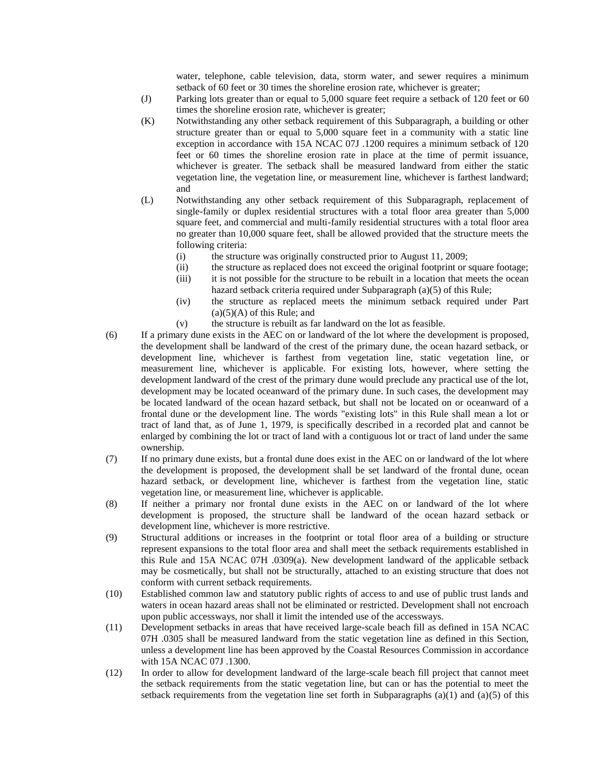water, telephone, cable television, data, storm water, and sewer requires a minimum setback of 60 feet or 30 times the shoreline erosion rate, whichever is greater;

- (J) Parking lots greater than or equal to 5,000 square feet require a setback of 120 feet or 60 times the shoreline erosion rate, whichever is greater;
- (K) Notwithstanding any other setback requirement of this Subparagraph, a building or other structure greater than or equal to 5,000 square feet in a community with a static line exception in accordance with 15A NCAC 07J .1200 requires a minimum setback of 120 feet or 60 times the shoreline erosion rate in place at the time of permit issuance, whichever is greater. The setback shall be measured landward from either the static vegetation line, the vegetation line, or measurement line, whichever is farthest landward; and
- (L) Notwithstanding any other setback requirement of this Subparagraph, replacement of single-family or duplex residential structures with a total floor area greater than 5,000 square feet, and commercial and multi-family residential structures with a total floor area no greater than 10,000 square feet, shall be allowed provided that the structure meets the following criteria:
	- (i) the structure was originally constructed prior to August 11, 2009;
	- (ii) the structure as replaced does not exceed the original footprint or square footage; (iii) it is not possible for the structure to be rebuilt in a location that meets the ocean
	- hazard setback criteria required under Subparagraph (a)(5) of this Rule;
	- (iv) the structure as replaced meets the minimum setback required under Part  $(a)(5)(A)$  of this Rule; and
	- (v) the structure is rebuilt as far landward on the lot as feasible.
- (6) If a primary dune exists in the AEC on or landward of the lot where the development is proposed, the development shall be landward of the crest of the primary dune, the ocean hazard setback, or development line, whichever is farthest from vegetation line, static vegetation line, or measurement line, whichever is applicable. For existing lots, however, where setting the development landward of the crest of the primary dune would preclude any practical use of the lot, development may be located oceanward of the primary dune. In such cases, the development may be located landward of the ocean hazard setback, but shall not be located on or oceanward of a frontal dune or the development line. The words "existing lots" in this Rule shall mean a lot or tract of land that, as of June 1, 1979, is specifically described in a recorded plat and cannot be enlarged by combining the lot or tract of land with a contiguous lot or tract of land under the same ownership.
- (7) If no primary dune exists, but a frontal dune does exist in the AEC on or landward of the lot where the development is proposed, the development shall be set landward of the frontal dune, ocean hazard setback, or development line, whichever is farthest from the vegetation line, static vegetation line, or measurement line, whichever is applicable.
- (8) If neither a primary nor frontal dune exists in the AEC on or landward of the lot where development is proposed, the structure shall be landward of the ocean hazard setback or development line, whichever is more restrictive.
- (9) Structural additions or increases in the footprint or total floor area of a building or structure represent expansions to the total floor area and shall meet the setback requirements established in this Rule and 15A NCAC 07H .0309(a). New development landward of the applicable setback may be cosmetically, but shall not be structurally, attached to an existing structure that does not conform with current setback requirements.
- (10) Established common law and statutory public rights of access to and use of public trust lands and waters in ocean hazard areas shall not be eliminated or restricted. Development shall not encroach upon public accessways, nor shall it limit the intended use of the accessways.
- (11) Development setbacks in areas that have received large-scale beach fill as defined in 15A NCAC 07H .0305 shall be measured landward from the static vegetation line as defined in this Section, unless a development line has been approved by the Coastal Resources Commission in accordance with 15A NCAC 07J .1300.
- (12) In order to allow for development landward of the large-scale beach fill project that cannot meet the setback requirements from the static vegetation line, but can or has the potential to meet the setback requirements from the vegetation line set forth in Subparagraphs (a)(1) and (a)(5) of this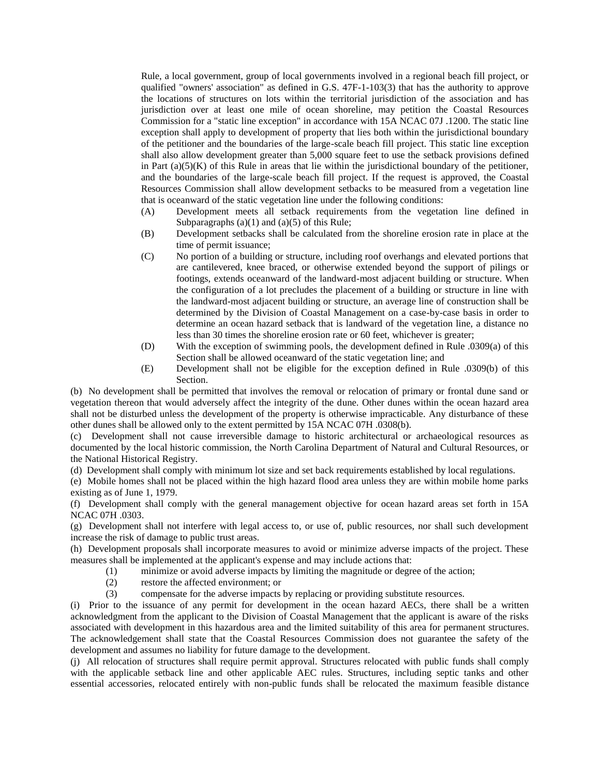Rule, a local government, group of local governments involved in a regional beach fill project, or qualified "owners' association" as defined in G.S. 47F-1-103(3) that has the authority to approve the locations of structures on lots within the territorial jurisdiction of the association and has jurisdiction over at least one mile of ocean shoreline, may petition the Coastal Resources Commission for a "static line exception" in accordance with 15A NCAC 07J .1200. The static line exception shall apply to development of property that lies both within the jurisdictional boundary of the petitioner and the boundaries of the large-scale beach fill project. This static line exception shall also allow development greater than 5,000 square feet to use the setback provisions defined in Part  $(a)(5)(K)$  of this Rule in areas that lie within the jurisdictional boundary of the petitioner, and the boundaries of the large-scale beach fill project. If the request is approved, the Coastal Resources Commission shall allow development setbacks to be measured from a vegetation line that is oceanward of the static vegetation line under the following conditions:

- (A) Development meets all setback requirements from the vegetation line defined in Subparagraphs  $(a)(1)$  and  $(a)(5)$  of this Rule;
- (B) Development setbacks shall be calculated from the shoreline erosion rate in place at the time of permit issuance;
- (C) No portion of a building or structure, including roof overhangs and elevated portions that are cantilevered, knee braced, or otherwise extended beyond the support of pilings or footings, extends oceanward of the landward-most adjacent building or structure. When the configuration of a lot precludes the placement of a building or structure in line with the landward-most adjacent building or structure, an average line of construction shall be determined by the Division of Coastal Management on a case-by-case basis in order to determine an ocean hazard setback that is landward of the vegetation line, a distance no less than 30 times the shoreline erosion rate or 60 feet, whichever is greater;
- (D) With the exception of swimming pools, the development defined in Rule .0309(a) of this Section shall be allowed oceanward of the static vegetation line; and
- (E) Development shall not be eligible for the exception defined in Rule .0309(b) of this Section.

(b) No development shall be permitted that involves the removal or relocation of primary or frontal dune sand or vegetation thereon that would adversely affect the integrity of the dune. Other dunes within the ocean hazard area shall not be disturbed unless the development of the property is otherwise impracticable. Any disturbance of these other dunes shall be allowed only to the extent permitted by 15A NCAC 07H .0308(b).

(c) Development shall not cause irreversible damage to historic architectural or archaeological resources as documented by the local historic commission, the North Carolina Department of Natural and Cultural Resources, or the National Historical Registry.

(d) Development shall comply with minimum lot size and set back requirements established by local regulations.

(e) Mobile homes shall not be placed within the high hazard flood area unless they are within mobile home parks existing as of June 1, 1979.

(f) Development shall comply with the general management objective for ocean hazard areas set forth in 15A NCAC 07H .0303.

(g) Development shall not interfere with legal access to, or use of, public resources, nor shall such development increase the risk of damage to public trust areas.

(h) Development proposals shall incorporate measures to avoid or minimize adverse impacts of the project. These measures shall be implemented at the applicant's expense and may include actions that:

- (1) minimize or avoid adverse impacts by limiting the magnitude or degree of the action;
- (2) restore the affected environment; or
- (3) compensate for the adverse impacts by replacing or providing substitute resources.

(i) Prior to the issuance of any permit for development in the ocean hazard AECs, there shall be a written acknowledgment from the applicant to the Division of Coastal Management that the applicant is aware of the risks associated with development in this hazardous area and the limited suitability of this area for permanent structures. The acknowledgement shall state that the Coastal Resources Commission does not guarantee the safety of the development and assumes no liability for future damage to the development.

(j) All relocation of structures shall require permit approval. Structures relocated with public funds shall comply with the applicable setback line and other applicable AEC rules. Structures, including septic tanks and other essential accessories, relocated entirely with non-public funds shall be relocated the maximum feasible distance